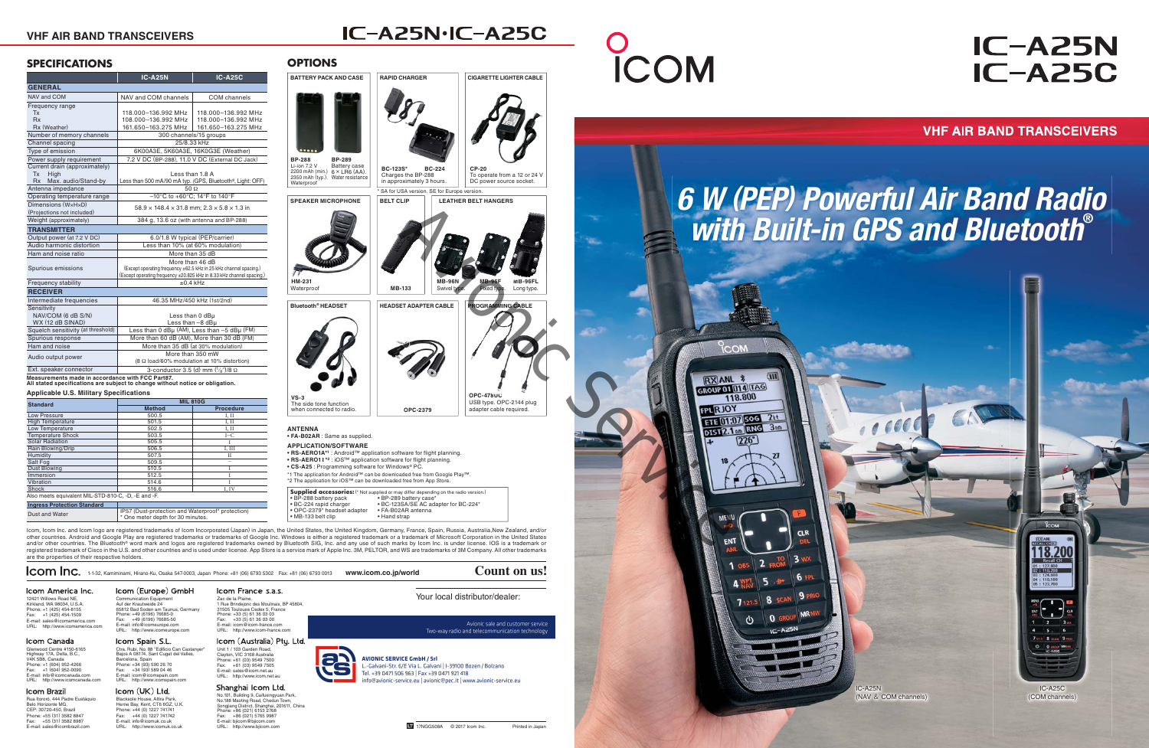|  |  | $\mathsf{Lcom} \mathfrak{m}$ inc. 1-1-32, Kamiminami, Hirano-Ku, Osaka 547-0003, Japan Phone: +81 (06) 6793 5302 Fax: +81 (06) 6793 0013 www.icom.co.jp/world |  | Count on us! |
|--|--|---------------------------------------------------------------------------------------------------------------------------------------------------------------|--|--------------|
|--|--|---------------------------------------------------------------------------------------------------------------------------------------------------------------|--|--------------|

#### Icom America Inc. 12421 Willows Road NE, Kirkland, WA 98034, U.S.A.

Phone: +1 (425) 454-8155 Fax: +1 (425) 454-1509 E-mail: sales@icomamerica.com URL: http://www.icomamerica.com Communication Equipment Auf der Krautweide 24 65812 Bad Soden am Taunus, Germany Phone: +49 (6196) 76685-0 Fax: +49 (6196) 76685-50 E-mail: info@icomeurope.com E-mail. into Company Company Company Company Company Company Company Company Company Company Company Company Company Company Company Company Company Company Company Company Company Company Company Company Company Company C

#### Icom Canada

Glenwood Centre #150-6165<br>Highway 17A, Delta, B.C.,<br>V4K 5B8, Canada<br>Phone: +1 (604) 952-4266<br>Fax: +1 (604) 952-0090<br>E-mail: info@icomcanada.com<br>URL: http://www.icomcanada.com

### Icom Brazil

# Icom (Australia) Pty. Ltd. Unit 1 / 103 Garden Road,

Clayton, VIC 3168 Australia<br>Phone: +61 (03) 9549 7500<br>Fax: +61 (03) 9549 7505<br>E-mail: sales@icom.net.au<br>URL: http://www.icom.net.au

## Shanghai Icom Ltd.

Blacksole House, Altira Park, Herne Bay, Kent, CT6 6GZ, U.K. Phone: +44 (0) 1227 741741 Fax: +44 (0) 1227 741742 E-mail: info@icomuk.co.uk URL: http://www.icomuk.co.uk

Icom (UK) Ltd.

Icom Spain S.L.

Zac de la Plaine, 1 Rue Brindejonc des Moulinais, BP 45804, 31505 Toulouse Cedex 5, France Phone: +33 (5) 61 36 03 03 Fax: +33 (5) 61 36 03 00 E-mail: icom@icom-france.comURL: http://www.icom-france.com

Ctra. Rubi, No. 88 "Edificio Can Castanyer" Bajos A 08174, Sant Cugat del Valles,

Barcelona, Spain Phone: +34 (93) 590 26 70 Fax: +34 (93) 589 04 46 E-mail: icom@icomspain.com URL: http://www.icomspain.com

# **IC-A25N IC-A25C**

**VHF AIR BAND TRANSCEIVERS** 

Your local distributor/dealer:

Avionic sale and customer service

Two-way radio and telecommunication technology



**AVIONIC SERVICE GmbH / Srl** -Galvani-Str. 6/E Via L. Galvani | I-39100 Bozen / Bolzano Tel. +39 0471 506 963 | Fax +39 0471 921 418

**ICOM** 

No.101, Building 9, Caifuxingyuan Park, No.188 Maoting Road, Chedun Town, Songjiang District, Shanghai, 201611, China Phone: +86 (021) 6153 2768 Fax: +86 (021) 5765 9987 E-mail: bjicom@bjicom.com URL: http://www.bjicom.com

Rua Itororó, 444 Padre Eustáquio Belo Horizonte MG, CEP: 30720-450, Brazil Phone: +55 (31) 3582 8847 Fax: +55 (31) 3582 8987 E-mail: sales@icombrazil.com

#### Icom (Europe) GmbH Icom France s.a.s.

## **SPECIFICATIONS**

Icom, Icom Inc. and Icom logo are registered trademarks of Icom Incorporated (Japan) in Japan, the United States, the United Kingdom, Germany, France, Spain, Russia, Australia,New Zealand, and/or other countries. Android and Google Play are registered trademarks or trademarks of Google Inc. Windows is either a registered trademark or a trademark of Microsoft Corporation in the United States and/or other countries. The Bluetooth® word mark and logos are registered trademarks owned by Bluetooth SIG, Inc. and any use of such marks by Icom Inc. is under license. IOS is a trademark or registered trademark of Cisco in the U.S. and other countries and is used under license. App Store is a service mark of Apple Inc. 3M, PELTOR, and WS are trademarks of 3M Company. All other trademarks are the properties of their respective holders.

|                                                 | <b>IC-A25N</b>                                                                                                                                                | <b>IC-A25C</b>              |  |  |  |
|-------------------------------------------------|---------------------------------------------------------------------------------------------------------------------------------------------------------------|-----------------------------|--|--|--|
| <b>GENERAL</b>                                  |                                                                                                                                                               |                             |  |  |  |
| NAV and COM                                     | NAV and COM channels                                                                                                                                          | COM channels                |  |  |  |
| Frequency range                                 |                                                                                                                                                               |                             |  |  |  |
| Tx                                              | 118.000-136.992 MHz                                                                                                                                           | 118.000-136.992 MHz         |  |  |  |
| <b>Rx</b>                                       | 108.000-136.992 MHz                                                                                                                                           | 118.000-136.992 MHz         |  |  |  |
| Rx (Weather)                                    | 161.650-163.275 MHz                                                                                                                                           | 161.650-163.275 MHz         |  |  |  |
| Number of memory channels                       | 300 channels/15 groups                                                                                                                                        |                             |  |  |  |
| Channel spacing                                 | 25/8.33 kHz                                                                                                                                                   |                             |  |  |  |
| Type of emission                                | 6K00A3E, 5K60A3E, 16K0G3E (Weather)                                                                                                                           |                             |  |  |  |
| Power supply requirement                        | 7.2 V DC (BP-288), 11.0 V DC (External DC Jack)                                                                                                               |                             |  |  |  |
| Current drain (approximately)                   |                                                                                                                                                               |                             |  |  |  |
| Tx<br>High                                      |                                                                                                                                                               | Less than 1.8 A             |  |  |  |
| Rx Max. audio/Stand-by                          | Less than 500 mA/90 mA typ. (GPS, Bluetooth®, Light: OFF)                                                                                                     |                             |  |  |  |
| Antenna impedance                               | $50\Omega$                                                                                                                                                    |                             |  |  |  |
| Operating temperature range                     | $-10^{\circ}$ C to +60 $^{\circ}$ C: 14 $^{\circ}$ F to 140 $^{\circ}$ F                                                                                      |                             |  |  |  |
| Dimensions (WxHxD)                              | $58.9 \times 148.4 \times 31.8$ mm; $2.3 \times 5.8 \times 1.3$ in                                                                                            |                             |  |  |  |
| (Projections not included)                      |                                                                                                                                                               |                             |  |  |  |
| Weight (approximately)                          | 384 g, 13.6 oz (with antenna and BP-288)                                                                                                                      |                             |  |  |  |
| <b>TRANSMITTER</b>                              |                                                                                                                                                               |                             |  |  |  |
| Output power (at 7.2 V DC)                      | 6.0/1.8 W typical (PEP/carrier)                                                                                                                               |                             |  |  |  |
| Audio harmonic distortion                       | Less than 10% (at 60% modulation)                                                                                                                             |                             |  |  |  |
| Ham and noise ratio                             | More than 35 dB                                                                                                                                               |                             |  |  |  |
| Spurious emissions                              | More than 46 dB<br>(Except operating frequency ±62.5 kHz in 25 kHz channel spacing.)<br>(Except operating frequency ±20.825 kHz in 8.33 kHz channel spacing.) |                             |  |  |  |
| Frequency stability                             | $+0.4$ kHz                                                                                                                                                    |                             |  |  |  |
| <b>RECEIVER</b>                                 |                                                                                                                                                               |                             |  |  |  |
| Intermediate frequencies                        |                                                                                                                                                               | 46.35 MHz/450 kHz (1st/2nd) |  |  |  |
| Sensitivity                                     |                                                                                                                                                               |                             |  |  |  |
| NAV/COM (6 dB S/N)                              |                                                                                                                                                               | Less than 0 dBµ             |  |  |  |
| WX (12 dB SINAD)                                |                                                                                                                                                               | Less than $-8$ dB $\mu$     |  |  |  |
| Squelch sensitivity (at threshold)              | Less than 0 dBµ (AM), Less than -5 dBµ (FM)                                                                                                                   |                             |  |  |  |
| Spurious response                               | More than 60 dB (AM), More than 30 dB (FM)                                                                                                                    |                             |  |  |  |
| Ham and noise                                   | More than 35 dB (at 30% modulation)                                                                                                                           |                             |  |  |  |
| Audio output power                              | More than 350 mW                                                                                                                                              |                             |  |  |  |
|                                                 | (8 Ω load/60% modulation at 10% distortion)                                                                                                                   |                             |  |  |  |
| Ext. speaker connector                          | 3-conductor 3.5 (d) mm $(\frac{1}{8})/8$ $\Omega$                                                                                                             |                             |  |  |  |
| Moneuromente made in accordance with ECC Bortez |                                                                                                                                                               |                             |  |  |  |

**Measurements made in accordance with FCC Part87. All stated specifications are subject to change without notice or obligation.**

**Applicable U.S. Military Specifications** 



| <b>Standard</b>                                     | <b>MIL 810G</b>                                                                        |                  |  |
|-----------------------------------------------------|----------------------------------------------------------------------------------------|------------------|--|
|                                                     | <b>Method</b>                                                                          | <b>Procedure</b> |  |
| Low Pressure                                        | 500.5                                                                                  | I, II            |  |
| <b>High Temperature</b>                             | 501.5                                                                                  | I. II            |  |
| Low Temperature                                     | 502.5                                                                                  | I. II            |  |
| <b>Temperature Shock</b>                            | 503.5                                                                                  | $I-C$            |  |
| <b>Solar Radiation</b>                              | 505.5                                                                                  |                  |  |
| Rain Blowing/Drip                                   | 506.5                                                                                  | I. III           |  |
| Humidity                                            | 507.5                                                                                  | П                |  |
| Salt Fog                                            | 509.5                                                                                  |                  |  |
| Dust Blowing                                        | 510.5                                                                                  |                  |  |
| Immersion                                           | 512.5                                                                                  |                  |  |
| Vibration                                           | 514.6                                                                                  |                  |  |
| Shock                                               | 516.6                                                                                  | I. IV            |  |
| Also meets equivalent MIL-STD-810-C, -D, -E and -F. |                                                                                        |                  |  |
| <b>Ingress Protection Standard</b>                  |                                                                                        |                  |  |
| Dust and Water                                      | IP57 (Dust-protection and Waterproof* protection)<br>* One meter depth for 30 minutes. |                  |  |



IC-A25N.IC-A25C

**ANTENNA**

**• FA-B02AR** : Same as supplied.

| <b>APPLICATION/SOFTWARE</b>                                                    |
|--------------------------------------------------------------------------------|
| . RS-AERO1A <sup>*1</sup> : Android™ application software for flight planning. |
| . RS-AERO1I <sup>*2</sup> : iOS™ application software for flight planning.     |
| • CS-A25 : Programming software for Windows® PC.                               |
| *1 The application for Android™ can be downloaded free from Google Play™.      |
| *2 The application for iOS™ can be downloaded free from App Store.             |
|                                                                                |

| <b>Supplied accessories:</b> (* Not supplied or may differ depending on the radio version.) |                                      |  |  |  |
|---------------------------------------------------------------------------------------------|--------------------------------------|--|--|--|
| • BP-288 battery pack                                                                       | • BP-289 battery case*               |  |  |  |
| • BC-224 rapid charger                                                                      | • BC-123SA/SE AC adapter for BC-224* |  |  |  |
| · OPC-2379* headset adapter                                                                 | • FA-B02AR antenna                   |  |  |  |
| • MB-133 belt clip                                                                          | • Hand strap                         |  |  |  |

# *6 W (PEP) Powerful Air Band Radio with Built-in GPS and Bluetooth***®**

IC-A25N





info@avionic-service.eu | avionic@pec.it | www.avionic-service.eu



## **VHF AIR BAND TRANSCEIVERS**